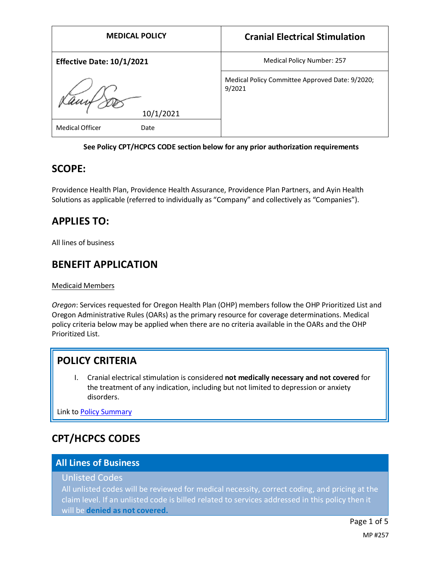| <b>MEDICAL POLICY</b>            | <b>Cranial Electrical Stimulation</b>                     |
|----------------------------------|-----------------------------------------------------------|
| <b>Effective Date: 10/1/2021</b> | <b>Medical Policy Number: 257</b>                         |
| Camp DD<br>10/1/2021             | Medical Policy Committee Approved Date: 9/2020;<br>9/2021 |
| <b>Medical Officer</b><br>Date   |                                                           |

### **See Policy CPT/HCPCS CODE section below for any prior authorization requirements**

### **SCOPE:**

Providence Health Plan, Providence Health Assurance, Providence Plan Partners, and Ayin Health Solutions as applicable (referred to individually as "Company" and collectively as "Companies").

## **APPLIES TO:**

All lines of business

## **BENEFIT APPLICATION**

### Medicaid Members

*Oregon*: Services requested for Oregon Health Plan (OHP) members follow the OHP Prioritized List and Oregon Administrative Rules (OARs) as the primary resource for coverage determinations. Medical policy criteria below may be applied when there are no criteria available in the OARs and the OHP Prioritized List.

# **POLICY CRITERIA**

I. Cranial electrical stimulation is considered **not medically necessary and not covered** for the treatment of any indication, including but not limited to depression or anxiety disorders.

Link t[o Policy Summary](#page-2-0)

# **CPT/HCPCS CODES**

### **All Lines of Business**

### Unlisted Codes

All unlisted codes will be reviewed for medical necessity, correct coding, and pricing at the claim level. If an unlisted code is billed related to services addressed in this policy then it will be **denied as not covered.**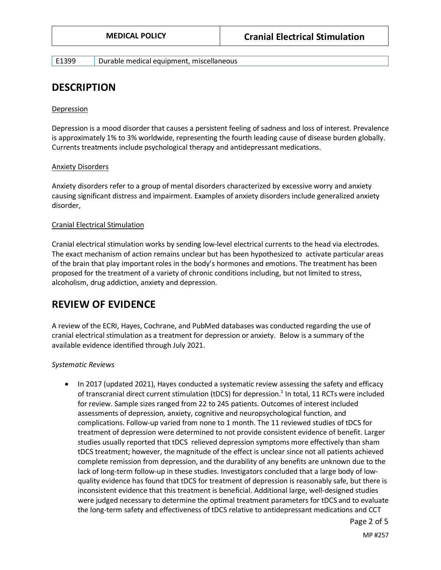E1399 Durable medical equipment, miscellaneous

## **DESCRIPTION**

#### Depression

Depression is a mood disorder that causes a persistent feeling of sadness and loss of interest. Prevalence is approximately 1% to 3% worldwide, representing the fourth leading cause of disease burden globally. Currents treatments include psychological therapy and antidepressant medications.

#### Anxiety Disorders

Anxiety disorders refer to a group of mental disorders characterized by excessive worry and anxiety causing significant distress and impairment. Examples of anxiety disorders include generalized anxiety disorder,

#### Cranial Electrical Stimulation

Cranial electrical stimulation works by sending low-level electrical currents to the head via electrodes. The exact mechanism of action remains unclear but has been hypothesized to activate particular areas of the brain that play important roles in the body's hormones and emotions. The treatment has been proposed for the treatment of a variety of chronic conditions including, but not limited to stress, alcoholism, drug addiction, anxiety and depression.

### **REVIEW OF EVIDENCE**

A review of the ECRI, Hayes, Cochrane, and PubMed databases was conducted regarding the use of cranial electrical stimulation as a treatment for depression or anxiety. Below is a summary of the available evidence identified through July 2021.

#### *Systematic Reviews*

• In 2017 (updated 2021), Hayes conducted a systematic review assessing the safety and efficacy of transcranial direct current stimulation (tDCS) for depression.<sup>1</sup> In total, 11 RCTs were included for review. Sample sizes ranged from 22 to 245 patients. Outcomes of interest included assessments of depression, anxiety, cognitive and neuropsychological function, and complications. Follow-up varied from none to 1 month. The 11 reviewed studies of tDCS for treatment of depression were determined to not provide consistent evidence of benefit. Larger studies usually reported that tDCS relieved depression symptoms more effectively than sham tDCS treatment; however, the magnitude of the effect is unclear since not all patients achieved complete remission from depression, and the durability of any benefits are unknown due to the lack of long-term follow-up in these studies. Investigators concluded that a large body of lowquality evidence has found that tDCS for treatment of depression is reasonably safe, but there is inconsistent evidence that this treatment is beneficial. Additional large, well-designed studies were judged necessary to determine the optimal treatment parameters for tDCS and to evaluate the long-term safety and effectiveness of tDCS relative to antidepressant medications and CCT

Page 2 of 5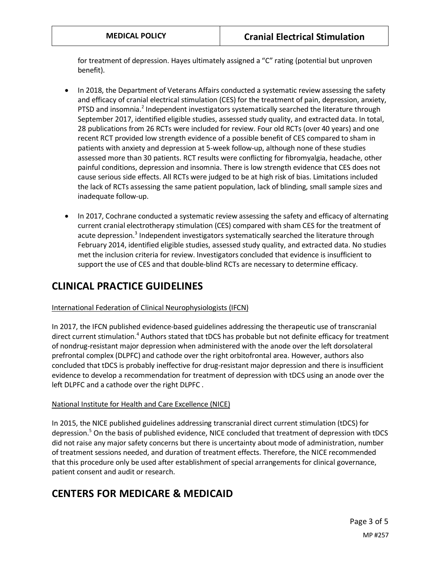for treatment of depression. Hayes ultimately assigned a "C" rating (potential but unproven benefit).

- In 2018, the Department of Veterans Affairs conducted a systematic review assessing the safety and efficacy of cranial electrical stimulation (CES) for the treatment of pain, depression, anxiety, PTSD and insomnia.<sup>2</sup> Independent investigators systematically searched the literature through September 2017, identified eligible studies, assessed study quality, and extracted data. In total, 28 publications from 26 RCTs were included for review. Four old RCTs (over 40 years) and one recent RCT provided low strength evidence of a possible benefit of CES compared to sham in patients with anxiety and depression at 5-week follow-up, although none of these studies assessed more than 30 patients. RCT results were conflicting for fibromyalgia, headache, other painful conditions, depression and insomnia. There is low strength evidence that CES does not cause serious side effects. All RCTs were judged to be at high risk of bias. Limitations included the lack of RCTs assessing the same patient population, lack of blinding, small sample sizes and inadequate follow-up.
- In 2017, Cochrane conducted a systematic review assessing the safety and efficacy of alternating current cranial electrotherapy stimulation (CES) compared with sham CES for the treatment of acute depression.<sup>3</sup> Independent investigators systematically searched the literature through February 2014, identified eligible studies, assessed study quality, and extracted data. No studies met the inclusion criteria for review. Investigators concluded that evidence is insufficient to support the use of CES and that double-blind RCTs are necessary to determine efficacy.

# **CLINICAL PRACTICE GUIDELINES**

### International Federation of Clinical Neurophysiologists (IFCN)

In 2017, the IFCN published evidence-based guidelines addressing the therapeutic use of transcranial direct current stimulation.<sup>4</sup> Authors stated that tDCS has probable but not definite efficacy for treatment of nondrug-resistant major depression when administered with the anode over the left dorsolateral prefrontal complex (DLPFC) and cathode over the right orbitofrontal area. However, authors also concluded that tDCS is probably ineffective for drug-resistant major depression and there is insufficient evidence to develop a recommendation for treatment of depression with tDCS using an anode over the left DLPFC and a cathode over the right DLPFC .

### National Institute for Health and Care Excellence (NICE)

In 2015, the NICE published guidelines addressing transcranial direct current stimulation (tDCS) for depression. <sup>5</sup> On the basis of published evidence, NICE concluded that treatment of depression with tDCS did not raise any major safety concerns but there is uncertainty about mode of administration, number of treatment sessions needed, and duration of treatment effects. Therefore, the NICE recommended that this procedure only be used after establishment of special arrangements for clinical governance, patient consent and audit or research.

# <span id="page-2-0"></span>**CENTERS FOR MEDICARE & MEDICAID**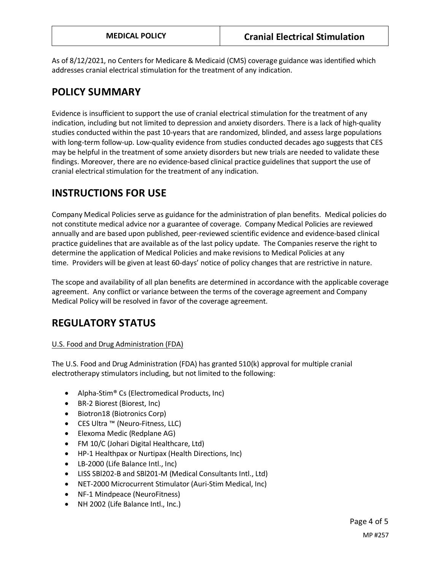As of 8/12/2021, no Centers for Medicare & Medicaid (CMS) coverage guidance was identified which addresses cranial electrical stimulation for the treatment of any indication.

## **POLICY SUMMARY**

Evidence is insufficient to support the use of cranial electrical stimulation for the treatment of any indication, including but not limited to depression and anxiety disorders. There is a lack of high-quality studies conducted within the past 10-years that are randomized, blinded, and assess large populations with long-term follow-up. Low-quality evidence from studies conducted decades ago suggests that CES may be helpful in the treatment of some anxiety disorders but new trials are needed to validate these findings. Moreover, there are no evidence-based clinical practice guidelines that support the use of cranial electrical stimulation for the treatment of any indication.

# **INSTRUCTIONS FOR USE**

Company Medical Policies serve as guidance for the administration of plan benefits. Medical policies do not constitute medical advice nor a guarantee of coverage. Company Medical Policies are reviewed annually and are based upon published, peer-reviewed scientific evidence and evidence-based clinical practice guidelines that are available as of the last policy update. The Companies reserve the right to determine the application of Medical Policies and make revisions to Medical Policies at any time. Providers will be given at least 60-days' notice of policy changes that are restrictive in nature.

The scope and availability of all plan benefits are determined in accordance with the applicable coverage agreement. Any conflict or variance between the terms of the coverage agreement and Company Medical Policy will be resolved in favor of the coverage agreement.

## **REGULATORY STATUS**

### U.S. Food and Drug Administration (FDA)

The U.S. Food and Drug Administration (FDA) has granted 510(k) approval for multiple cranial electrotherapy stimulators including, but not limited to the following:

- Alpha-Stim<sup>®</sup> Cs (Electromedical Products, Inc)
- BR-2 Biorest (Biorest, Inc)
- Biotron18 (Biotronics Corp)
- CES Ultra ™ (Neuro-Fitness, LLC)
- Elexoma Medic (Redplane AG)
- FM 10/C (Johari Digital Healthcare, Ltd)
- HP-1 Healthpax or Nurtipax (Health Directions, Inc)
- LB-2000 (Life Balance Intl., Inc)
- LISS SBl202-B and SBl201-M (Medical Consultants Intl., Ltd)
- NET-2000 Microcurrent Stimulator (Auri-Stim Medical, Inc)
- NF-1 Mindpeace (NeuroFitness)
- NH 2002 (Life Balance Intl., Inc.)